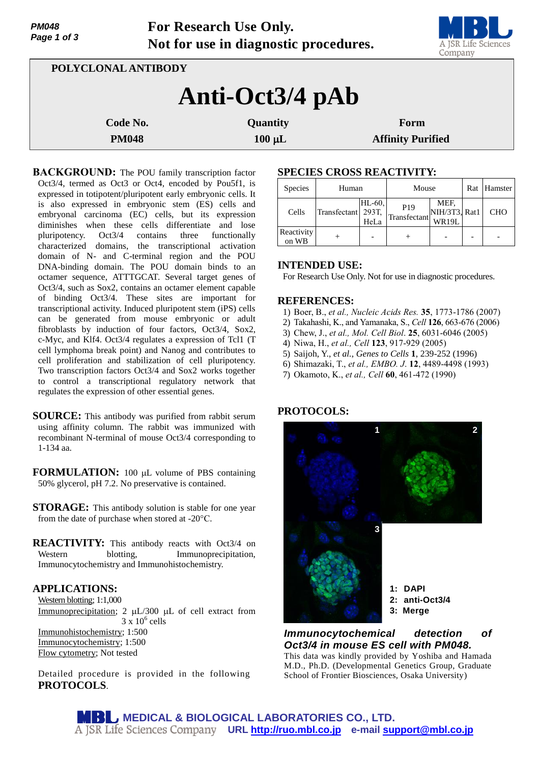| <b>PM048</b><br>Page 1 of 3 | For Research Use Only.<br>Not for use in diagnostic procedures. | A JSR Life Sciences<br>Company |                          |  |  |  |  |  |  |
|-----------------------------|-----------------------------------------------------------------|--------------------------------|--------------------------|--|--|--|--|--|--|
|                             | POLYCLONAL ANTIBODY                                             |                                |                          |  |  |  |  |  |  |
| Anti-Oct3/4 pAb             |                                                                 |                                |                          |  |  |  |  |  |  |
|                             | Code No.                                                        | Quantity                       | Form                     |  |  |  |  |  |  |
|                             | <b>PM048</b>                                                    | $100 \mu L$                    | <b>Affinity Purified</b> |  |  |  |  |  |  |

**BACKGROUND:** The POU family transcription factor Oct3/4, termed as Oct3 or Oct4, encoded by Pou5f1, is expressed in totipotent/pluripotent early embryonic cells. It is also expressed in embryonic stem (ES) cells and embryonal carcinoma (EC) cells, but its expression diminishes when these cells differentiate and lose pluripotency. Oct3/4 contains three functionally characterized domains, the transcriptional activation domain of N- and C-terminal region and the POU DNA-binding domain. The POU domain binds to an octamer sequence, ATTTGCAT. Several target genes of Oct3/4, such as Sox2, contains an octamer element capable of binding Oct3/4. These sites are important for transcriptional activity. Induced pluripotent stem (iPS) cells can be generated from mouse embryonic or adult fibroblasts by induction of four factors, Oct3/4, Sox2, c-Myc, and Klf4. Oct3/4 regulates a expression of Tcl1 (T cell lymphoma break point) and Nanog and contributes to cell proliferation and stabilization of cell pluripotency. Two transcription factors Oct3/4 and Sox2 works together to control a transcriptional regulatory network that regulates the expression of other essential genes.

- **SOURCE:** This antibody was purified from rabbit serum using affinity column. The rabbit was immunized with recombinant N-terminal of mouse Oct3/4 corresponding to 1-134 aa.
- **FORMULATION:** 100 µL volume of PBS containing 50% glycerol, pH 7.2. No preservative is contained.
- **STORAGE:** This antibody solution is stable for one year from the date of purchase when stored at -20°C.
- **REACTIVITY:** This antibody reacts with Oct3/4 on Western blotting, Immunoprecipitation, Immunocytochemistry and Immunohistochemistry.

# **APPLICATIONS:**

Western blotting; 1:1,000 Immunoprecipitation; 2  $\mu$ L/300  $\mu$ L of cell extract from  $3 \times 10^6$  cells Immunohistochemistry; 1:500 Immunocytochemistry; 1:500 Flow cytometry; Not tested

Detailed procedure is provided in the following **PROTOCOLS**.

## **SPECIES CROSS REACTIVITY:**

| <b>Species</b>      | Human        |                            | Mouse                           |                                | Rat | Hamster    |
|---------------------|--------------|----------------------------|---------------------------------|--------------------------------|-----|------------|
| Cells               | Transfectant | $HL-60$ ,<br>293T,<br>HeLa | P <sub>19</sub><br>Transfectant | MEF,<br>NIH/3T3, Rat1<br>WR19L |     | <b>CHO</b> |
| Reactivity<br>on WB |              |                            |                                 |                                |     |            |

# **INTENDED USE:**

For Research Use Only. Not for use in diagnostic procedures.

### **REFERENCES:**

- 1) Boer, B., *et al., Nucleic Acids Res.* **35**, 1773-1786 (2007)
- 2) Takahashi, K., and Yamanaka, S., *Cell* **126**, 663-676 (2006)
- 3) Chew, J., *et al., Mol. Cell Biol*. **25**, 6031-6046 (2005)
- 4) Niwa, H., *et al., Cell* **123**, 917-929 (2005)
- 5) Saijoh, Y., *et al., Genes to Cells* **1**, 239-252 (1996)
- 6) Shimazaki, T., *et al., EMBO. J*. **12**, 4489-4498 (1993)
- 7) Okamoto, K., *et al., Cell* **60**, 461-472 (1990)

### **PROTOCOLS:**



# *Immunocytochemical detection of Oct3/4 in mouse ES cell with PM048.*

This data was kindly provided by Yoshiba and Hamada M.D., Ph.D. (Developmental Genetics Group, Graduate School of Frontier Biosciences, Osaka University)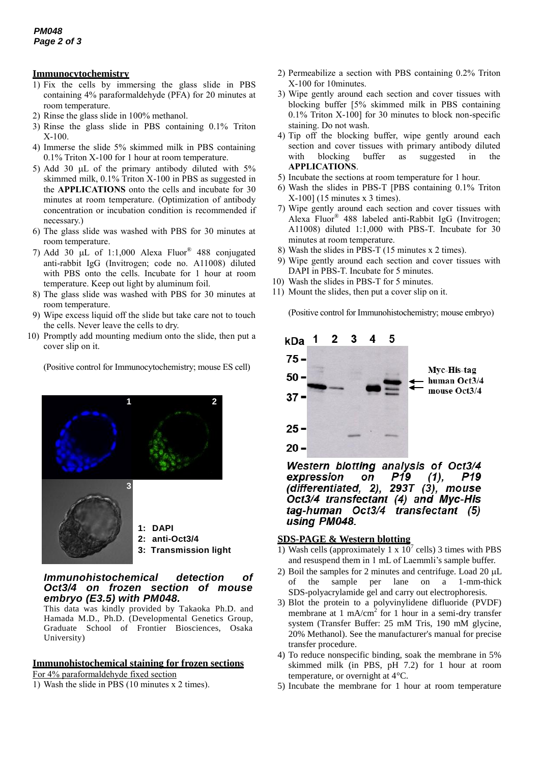## **Immunocytochemistry**

- 1) Fix the cells by immersing the glass slide in PBS containing 4% paraformaldehyde (PFA) for 20 minutes at room temperature.
- 2) Rinse the glass slide in 100% methanol.
- 3) Rinse the glass slide in PBS containing 0.1% Triton X-100.
- 4) Immerse the slide 5% skimmed milk in PBS containing 0.1% Triton X-100 for 1 hour at room temperature.
- 5) Add 30  $\mu$ L of the primary antibody diluted with 5% skimmed milk, 0.1% Triton X-100 in PBS as suggested in the **APPLICATIONS** onto the cells and incubate for 30 minutes at room temperature. (Optimization of antibody concentration or incubation condition is recommended if necessary.)
- 6) The glass slide was washed with PBS for 30 minutes at room temperature.
- 7) Add 30  $\mu$ L of 1:1,000 Alexa Fluor® 488 conjugated anti-rabbit IgG (Invitrogen; code no. A11008) diluted with PBS onto the cells. Incubate for 1 hour at room temperature. Keep out light by aluminum foil.
- 8) The glass slide was washed with PBS for 30 minutes at room temperature.
- 9) Wipe excess liquid off the slide but take care not to touch the cells. Never leave the cells to dry.
- 10) Promptly add mounting medium onto the slide, then put a cover slip on it.

(Positive control for Immunocytochemistry; mouse ES cell)



# *Immunohistochemical detection of Oct3/4 on frozen section of mouse embryo (E3.5) with PM048.*

This data was kindly provided by Takaoka Ph.D. and Hamada M.D., Ph.D. (Developmental Genetics Group, Graduate School of Frontier Biosciences, Osaka University)

### **Immunohistochemical staining for frozen sections**

For 4% paraformaldehyde fixed section

1) Wash the slide in PBS (10 minutes x 2 times).

- 2) Permeabilize a section with PBS containing 0.2% Triton X-100 for 10minutes.
- 3) Wipe gently around each section and cover tissues with blocking buffer [5% skimmed milk in PBS containing 0.1% Triton X-100] for 30 minutes to block non-specific staining. Do not wash.
- 4) Tip off the blocking buffer, wipe gently around each section and cover tissues with primary antibody diluted with blocking buffer as suggested in the **APPLICATIONS**.
- 5) Incubate the sections at room temperature for 1 hour.
- 6) Wash the slides in PBS-T [PBS containing 0.1% Triton X-100] (15 minutes x 3 times).
- 7) Wipe gently around each section and cover tissues with Alexa Fluor® 488 labeled anti-Rabbit IgG (Invitrogen; A11008) diluted 1:1,000 with PBS-T. Incubate for 30 minutes at room temperature.
- 8) Wash the slides in PBS-T (15 minutes x 2 times).
- 9) Wipe gently around each section and cover tissues with DAPI in PBS-T. Incubate for 5 minutes.
- 10) Wash the slides in PBS-T for 5 minutes.
- 11) Mount the slides, then put a cover slip on it.

(Positive control for Immunohistochemistry; mouse embryo)



Western blotting analysis of Oct3/4 expression P19 P<sub>19</sub>  $(1),$ on (differentiated, 2), 293T (3), mouse Oct3/4 transfectant (4) and Myc-His tag-human Oct3/4 transfectant (5) using PM048.

# **SDS-PAGE & Western blotting**

- 1) Wash cells (approximately 1 x  $10^7$  cells) 3 times with PBS and resuspend them in 1 mL of Laemmli's sample buffer.
- 2) Boil the samples for 2 minutes and centrifuge. Load  $20 \mu L$ of the sample per lane on a 1-mm-thick SDS-polyacrylamide gel and carry out electrophoresis.
- 3) Blot the protein to a polyvinylidene difluoride (PVDF) membrane at  $1 \text{ mA/cm}^2$  for  $1 \text{ hour}$  in a semi-dry transfer system (Transfer Buffer: 25 mM Tris, 190 mM glycine, 20% Methanol). See the manufacturer's manual for precise transfer procedure.
- 4) To reduce nonspecific binding, soak the membrane in 5% skimmed milk (in PBS, pH 7.2) for 1 hour at room temperature, or overnight at 4°C.
- 5) Incubate the membrane for 1 hour at room temperature